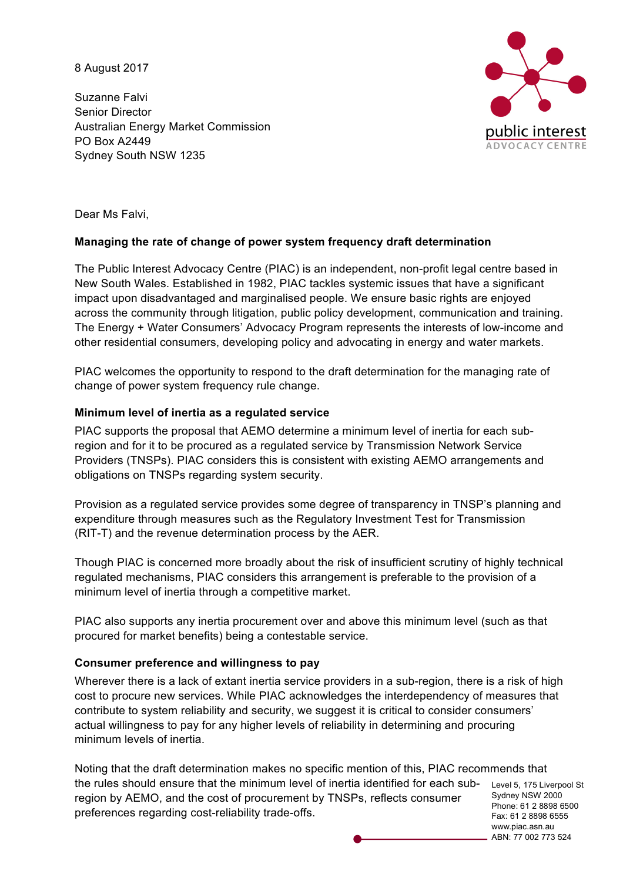8 August 2017

Suzanne Falvi Senior Director Australian Energy Market Commission PO Box A2449 Sydney South NSW 1235



Dear Ms Falvi,

## **Managing the rate of change of power system frequency draft determination**

The Public Interest Advocacy Centre (PIAC) is an independent, non-profit legal centre based in New South Wales. Established in 1982, PIAC tackles systemic issues that have a significant impact upon disadvantaged and marginalised people. We ensure basic rights are enjoyed across the community through litigation, public policy development, communication and training. The Energy + Water Consumers' Advocacy Program represents the interests of low-income and other residential consumers, developing policy and advocating in energy and water markets.

PIAC welcomes the opportunity to respond to the draft determination for the managing rate of change of power system frequency rule change.

## **Minimum level of inertia as a regulated service**

PIAC supports the proposal that AEMO determine a minimum level of inertia for each subregion and for it to be procured as a regulated service by Transmission Network Service Providers (TNSPs). PIAC considers this is consistent with existing AEMO arrangements and obligations on TNSPs regarding system security.

Provision as a regulated service provides some degree of transparency in TNSP's planning and expenditure through measures such as the Regulatory Investment Test for Transmission (RIT-T) and the revenue determination process by the AER.

Though PIAC is concerned more broadly about the risk of insufficient scrutiny of highly technical regulated mechanisms, PIAC considers this arrangement is preferable to the provision of a minimum level of inertia through a competitive market.

PIAC also supports any inertia procurement over and above this minimum level (such as that procured for market benefits) being a contestable service.

#### **Consumer preference and willingness to pay**

Wherever there is a lack of extant inertia service providers in a sub-region, there is a risk of high cost to procure new services. While PIAC acknowledges the interdependency of measures that contribute to system reliability and security, we suggest it is critical to consider consumers' actual willingness to pay for any higher levels of reliability in determining and procuring minimum levels of inertia.

the rules should ensure that the minimum level of inertia identified for each sub- Level 5, 175 Liverpool St Sydney NSW 2000 Fax: 61 2 8898 6555 Noting that the draft determination makes no specific mention of this, PIAC recommends that region by AEMO, and the cost of procurement by TNSPs, reflects consumer preferences regarding cost-reliability trade-offs.

Phone: 61 2 8898 6500 www.piac.asn.au ABN: 77 002 773 524